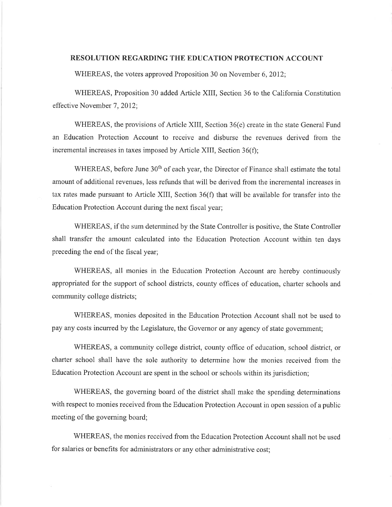## **RESOLUTION REGARDING THE EDUCATION PROTECTION ACCOUNT**

WHEREAS, the voters approved Proposition 30 on November 6, 2012;

WHEREAS, Proposition 30 added Article XIII, Section 36 to the California Constitution effective November 7, 2012;

WHEREAS, the provisions of Article XIII, Section 36(e) create in the state General Fund an Education Protection Account to receive and disburse the revenues derived from the incremental increases in taxes imposed by Article XIII, Section 36(f);

WHEREAS, before June 30<sup>th</sup> of each year, the Director of Finance shall estimate the total amount of additional revenues, less refunds that will be derived from the incremental increases in tax rates made pursuant to Article XIII, Section 36(f) that will be available for transfer into the Education Protection Account during the next fiscal year;

WHEREAS, if the sum determined by the State Controller is positive, the State Controller shall transfer the amount calculated into the Education Protection Account within ten days preceding the end of the fiscal year;

WHEREAS, all monies in the Education Protection Account are hereby continuously appropriated for the support of school districts, county offices of education, charter schools and community college districts;

WHEREAS, monies deposited in the Education Protection Account shall not be used to pay any costs incurred by the Legislature, the Governor or any agency of state government;

WHEREAS, a community college district, county office of education, school district, or charter school shall have the sole authority to determine how the monies received from the Education Protection Account are spent in the school or schools within its jurisdiction;

WHEREAS, the governing board of the district shall make the spending determinations with respect to monies received from the Education Protection Account in open session of a public meeting of the governing board;

WHEREAS, the monies received from the Education Protection Account shall not be used for salaries or benefits for administrators or any other administrative cost;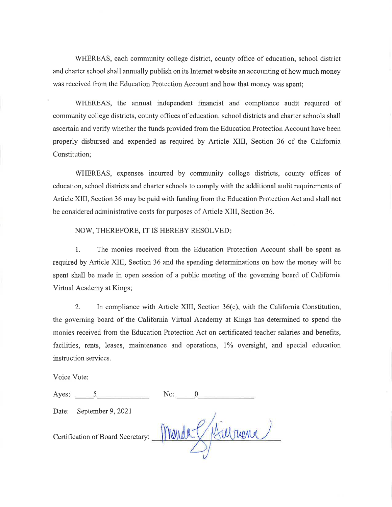WHEREAS, each community college district, county office of education, school district and charter school shall annually publish on its Internet website an accounting of how much money was received from the Education Protection Account and how that money was spent;

WHEREAS, the annual independent financial and compliance audit required of community college districts, county offices of education, school districts and charter schools shall ascertain and verify whether the funds provided from the Education Protection Account have been properly disbursed and expended as required by Article XIII, Section 36 of the California Constitution;

WHEREAS, expenses incurred by community college districts, county offices of education, school districts and charter schools to comply with the additional audit requirements of Article XIII, Section 36 may be paid with funding from the Education Protection Act and shall not be considered administrative costs for purposes of Article XIII, Section 36.

NOW, THEREFORE, IT IS HEREBY RESOLVED:

 $1.$ The monies received from the Education Protection Account shall be spent as required by Article XIII, Section 36 and the spending determinations on how the money will be spent shall be made in open session of a public meeting of the governing board of California Virtual Academy at Kings;

In compliance with Article XIII, Section 36(e), with the California Constitution,  $2.$ the governing board of the California Virtual Academy at Kings has determined to spend the monies received from the Education Protection Act on certificated teacher salaries and benefits, facilities, rents, leases, maintenance and operations, 1% oversight, and special education instruction services.

Voice Vote:

| Ayes:                             | No: |
|-----------------------------------|-----|
| September 9, 2021<br>Date:        |     |
| Certification of Board Secretary: |     |